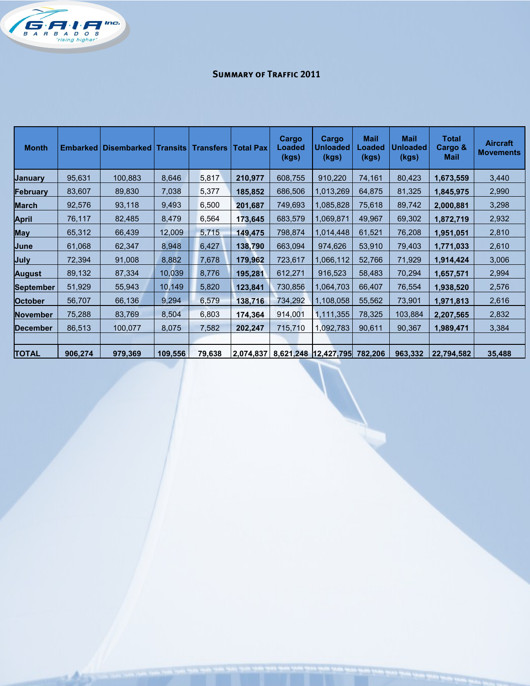

## **Summary of Traffic 2011**

| <b>Month</b>     |         | <b>Embarked   Disembarked   Transits  </b> |         | <b>Transfers</b> | <b>Total Pax</b> | Cargo<br>Loaded<br>(kgs) | Cargo<br>Unloaded<br>(kgs) | <b>Mail</b><br>Loaded<br>(kgs) | <b>Mail</b><br><b>Unloaded</b><br>(kgs) | <b>Total</b><br>Cargo &<br><b>Mail</b> | <b>Aircraft</b><br><b>Movements</b> |
|------------------|---------|--------------------------------------------|---------|------------------|------------------|--------------------------|----------------------------|--------------------------------|-----------------------------------------|----------------------------------------|-------------------------------------|
| <b>January</b>   | 95,631  | 100,883                                    | 8,646   | 5,817            | 210,977          | 608,755                  | 910,220                    | 74,161                         | 80,423                                  | 1,673,559                              | 3,440                               |
| February         | 83,607  | 89,830                                     | 7,038   | 5,377            | 185,852          | 686,506                  | 1,013,269                  | 64,875                         | 81,325                                  | 1,845,975                              | 2,990                               |
| <b>March</b>     | 92,576  | 93,118                                     | 9,493   | 6,500            | 201,687          | 749,693                  | 1,085,828                  | 75,618                         | 89,742                                  | 2,000,881                              | 3,298                               |
| <b>April</b>     | 76,117  | 82,485                                     | 8,479   | 6,564            | 173,645          | 683,579                  | 1,069,871                  | 49,967                         | 69,302                                  | 1,872,719                              | 2,932                               |
| <b>May</b>       | 65,312  | 66,439                                     | 12,009  | 5,715            | 149,475          | 798,874                  | 1,014,448                  | 61,521                         | 76,208                                  | 1,951,051                              | 2,810                               |
| June             | 61,068  | 62,347                                     | 8,948   | 6,427            | 138,790          | 663,094                  | 974,626                    | 53,910                         | 79,403                                  | 1,771,033                              | 2,610                               |
| July             | 72,394  | 91,008                                     | 8,882   | 7,678            | 179,962          | 723,617                  | 1,066,112                  | 52,766                         | 71,929                                  | 1,914,424                              | 3,006                               |
| <b>August</b>    | 89,132  | 87,334                                     | 10,039  | 8,776            | 195,281          | 612,271                  | 916,523                    | 58,483                         | 70,294                                  | 1,657,571                              | 2,994                               |
| <b>September</b> | 51,929  | 55,943                                     | 10,149  | 5,820            | 123,841          | 730,856                  | 1,064,703                  | 66,407                         | 76,554                                  | 1,938,520                              | 2,576                               |
| <b>October</b>   | 56,707  | 66,136                                     | 9,294   | 6,579            | 138,716          | 734,292                  | 1,108,058                  | 55,562                         | 73,901                                  | 1,971,813                              | 2,616                               |
| <b>November</b>  | 75,288  | 83,769                                     | 8,504   | 6,803            | 174,364          | 914,001                  | 1,111,355                  | 78,325                         | 103,884                                 | 2,207,565                              | 2,832                               |
| <b>December</b>  | 86,513  | 100,077                                    | 8,075   | 7,582            | 202,247          | 715,710                  | 1,092,783                  | 90,611                         | 90,367                                  | 1,989,471                              | 3,384                               |
|                  |         |                                            |         |                  |                  |                          |                            |                                |                                         |                                        |                                     |
| <b>TOTAL</b>     | 906,274 | 979,369                                    | 109,556 | 79,638           | 2,074,837        |                          | 8,621,248 12,427,795       | 782,206                        | 963,332                                 | 22,794,582                             | 35,488                              |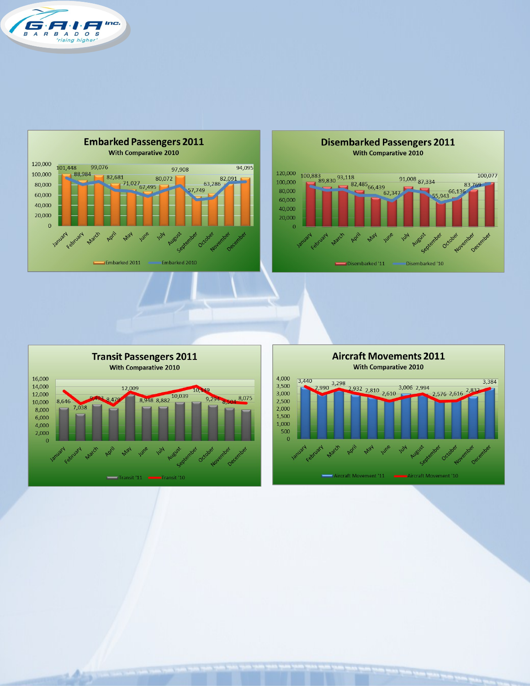